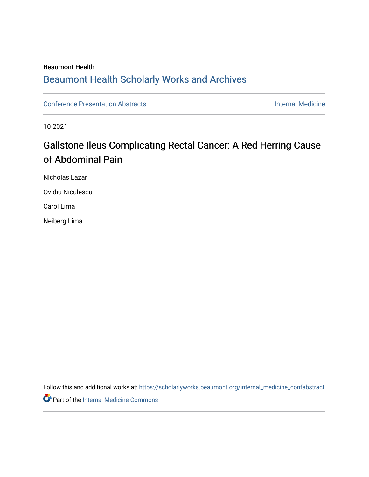### Beaumont Health

## [Beaumont Health Scholarly Works and Archives](https://scholarlyworks.beaumont.org/)

[Conference Presentation Abstracts](https://scholarlyworks.beaumont.org/internal_medicine_confabstract) **Internal Medicine** 

10-2021

# Gallstone Ileus Complicating Rectal Cancer: A Red Herring Cause of Abdominal Pain

Nicholas Lazar Ovidiu Niculescu

Carol Lima

Neiberg Lima

Follow this and additional works at: [https://scholarlyworks.beaumont.org/internal\\_medicine\\_confabstract](https://scholarlyworks.beaumont.org/internal_medicine_confabstract?utm_source=scholarlyworks.beaumont.org%2Finternal_medicine_confabstract%2F78&utm_medium=PDF&utm_campaign=PDFCoverPages) 

**Part of the [Internal Medicine Commons](http://network.bepress.com/hgg/discipline/1356?utm_source=scholarlyworks.beaumont.org%2Finternal_medicine_confabstract%2F78&utm_medium=PDF&utm_campaign=PDFCoverPages)**